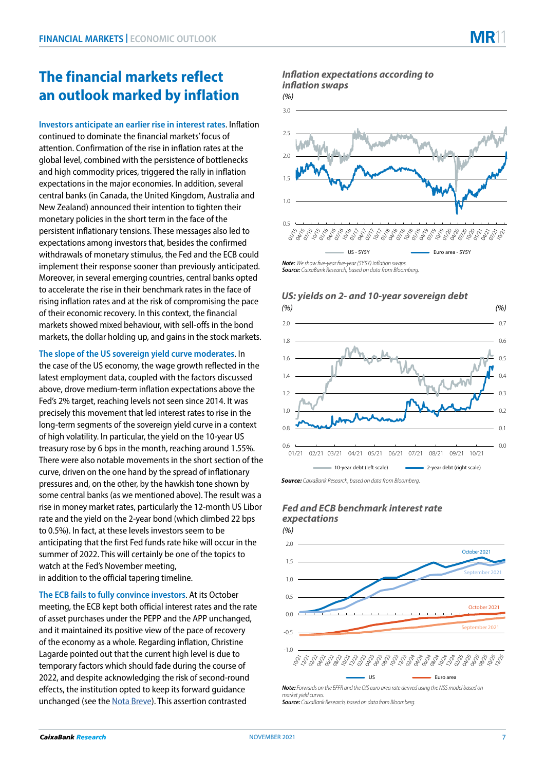**Investors anticipate an earlier rise in interest rates**. Inflation continued to dominate the financial markets' focus of attention. Confirmation of the rise in inflation rates at the global level, combined with the persistence of bottlenecks and high commodity prices, triggered the rally in inflation expectations in the major economies. In addition, several central banks (in Canada, the United Kingdom, Australia and New Zealand) announced their intention to tighten their monetary policies in the short term in the face of the persistent inflationary tensions. These messages also led to expectations among investors that, besides the confirmed withdrawals of monetary stimulus, the Fed and the ECB could implement their response sooner than previously anticipated. Moreover, in several emerging countries, central banks opted to accelerate the rise in their benchmark rates in the face of rising inflation rates and at the risk of compromising the pace of their economic recovery. In this context, the financial markets showed mixed behaviour, with sell-offs in the bond markets, the dollar holding up, and gains in the stock markets.

## **The slope of the US sovereign yield curve moderates**. In

the case of the US economy, the wage growth reflected in the latest employment data, coupled with the factors discussed above, drove medium-term inflation expectations above the Fed's 2% target, reaching levels not seen since 2014. It was precisely this movement that led interest rates to rise in the long-term segments of the sovereign yield curve in a context of high volatility. In particular, the yield on the 10-year US treasury rose by 6 bps in the month, reaching around 1.55%. There were also notable movements in the short section of the curve, driven on the one hand by the spread of inflationary pressures and, on the other, by the hawkish tone shown by some central banks (as we mentioned above). The result was a rise in money market rates, particularly the 12-month US Libor rate and the yield on the 2-year bond (which climbed 22 bps to 0.5%). In fact, at these levels investors seem to be anticipating that the first Fed funds rate hike will occur in the summer of 2022. This will certainly be one of the topics to watch at the Fed's November meeting, in addition to the official tapering timeline.

**The ECB fails to fully convince investors**. At its October meeting, the ECB kept both official interest rates and the rate of asset purchases under the PEPP and the APP unchanged, and it maintained its positive view of the pace of recovery of the economy as a whole. Regarding inflation, Christine Lagarde pointed out that the current high level is due to temporary factors which should fade during the course of 2022, and despite acknowledging the risk of second-round effects, the institution opted to keep its forward guidance unchanged (see the [Nota Breve](https://www.caixabankresearch.com/en/publicaciones/notas-breves-actualidad-economica-y-financiera/observatorio-bancos-centrales/bce-14)). This assertion contrasted

## **Inflation expectations according to** *inflation swaps*



*Source: CaixaBank Research, based on data from Bloomberg.*



*US: yields on 2- and 10-year sovereign debt*

# **Fed and ECB benchmark interest rate expectations**



*market yield curves. Source: CaixaBank Research, based on data from Bloomberg.*